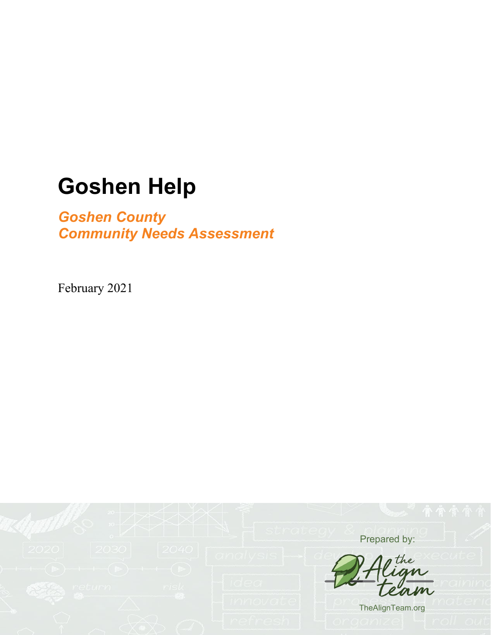## *Goshen County Community Needs Assessment*

February 2021

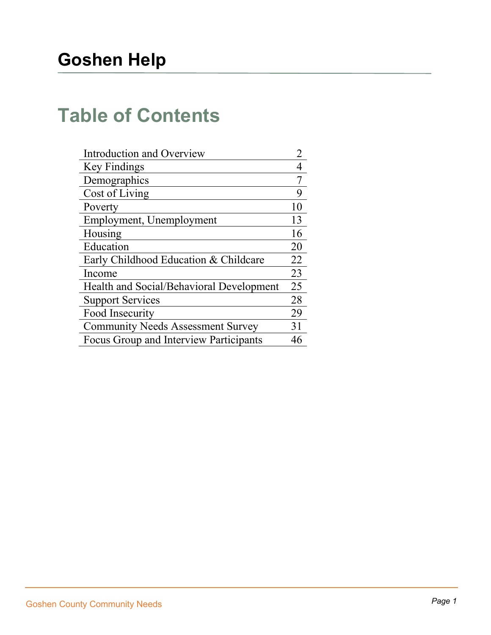# **Table of Contents**

| Introduction and Overview                |    |
|------------------------------------------|----|
| Key Findings                             |    |
| Demographics                             |    |
| Cost of Living                           | 9  |
| Poverty                                  | 10 |
| Employment, Unemployment                 | 13 |
| Housing                                  | 16 |
| Education                                | 20 |
| Early Childhood Education & Childcare    | 22 |
| Income                                   | 23 |
| Health and Social/Behavioral Development | 25 |
| <b>Support Services</b>                  | 28 |
| Food Insecurity                          | 29 |
| <b>Community Needs Assessment Survey</b> | 31 |
| Focus Group and Interview Participants   |    |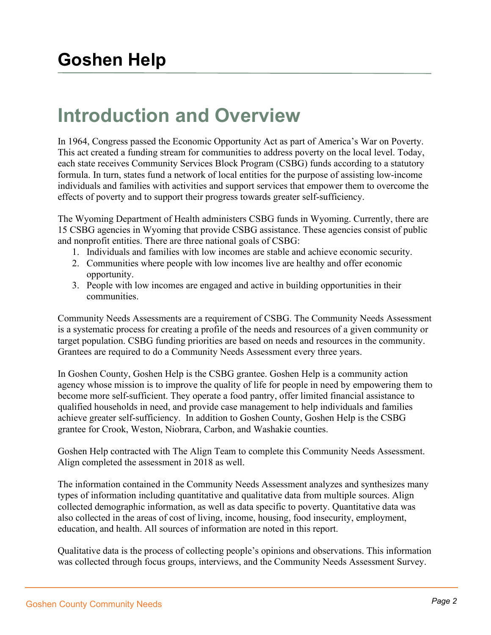# **Introduction and Overview**

In 1964, Congress passed the Economic Opportunity Act as part of America's War on Poverty. This act created a funding stream for communities to address poverty on the local level. Today, each state receives Community Services Block Program (CSBG) funds according to a statutory formula. In turn, states fund a network of local entities for the purpose of assisting low-income individuals and families with activities and support services that empower them to overcome the effects of poverty and to support their progress towards greater self-sufficiency.

The Wyoming Department of Health administers CSBG funds in Wyoming. Currently, there are 15 CSBG agencies in Wyoming that provide CSBG assistance. These agencies consist of public and nonprofit entities. There are three national goals of CSBG:

- 1. Individuals and families with low incomes are stable and achieve economic security.
- 2. Communities where people with low incomes live are healthy and offer economic opportunity.
- 3. People with low incomes are engaged and active in building opportunities in their communities.

Community Needs Assessments are a requirement of CSBG. The Community Needs Assessment is a systematic process for creating a profile of the needs and resources of a given community or target population. CSBG funding priorities are based on needs and resources in the community. Grantees are required to do a Community Needs Assessment every three years.

In Goshen County, Goshen Help is the CSBG grantee. Goshen Help is a community action agency whose mission is to improve the quality of life for people in need by empowering them to become more self-sufficient. They operate a food pantry, offer limited financial assistance to qualified households in need, and provide case management to help individuals and families achieve greater self-sufficiency. In addition to Goshen County, Goshen Help is the CSBG grantee for Crook, Weston, Niobrara, Carbon, and Washakie counties.

Goshen Help contracted with The Align Team to complete this Community Needs Assessment. Align completed the assessment in 2018 as well.

The information contained in the Community Needs Assessment analyzes and synthesizes many types of information including quantitative and qualitative data from multiple sources. Align collected demographic information, as well as data specific to poverty. Quantitative data was also collected in the areas of cost of living, income, housing, food insecurity, employment, education, and health. All sources of information are noted in this report.

Qualitative data is the process of collecting people's opinions and observations. This information was collected through focus groups, interviews, and the Community Needs Assessment Survey.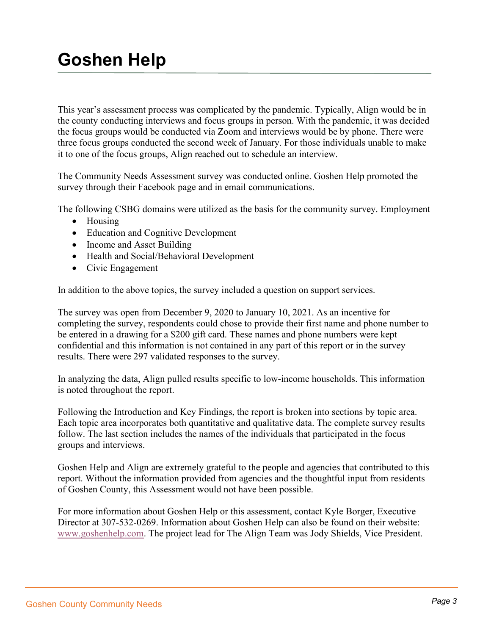This year's assessment process was complicated by the pandemic. Typically, Align would be in the county conducting interviews and focus groups in person. With the pandemic, it was decided the focus groups would be conducted via Zoom and interviews would be by phone. There were three focus groups conducted the second week of January. For those individuals unable to make it to one of the focus groups, Align reached out to schedule an interview.

The Community Needs Assessment survey was conducted online. Goshen Help promoted the survey through their Facebook page and in email communications.

The following CSBG domains were utilized as the basis for the community survey. Employment

- Housing
- Education and Cognitive Development
- Income and Asset Building
- Health and Social/Behavioral Development
- Civic Engagement

In addition to the above topics, the survey included a question on support services.

The survey was open from December 9, 2020 to January 10, 2021. As an incentive for completing the survey, respondents could chose to provide their first name and phone number to be entered in a drawing for a \$200 gift card. These names and phone numbers were kept confidential and this information is not contained in any part of this report or in the survey results. There were 297 validated responses to the survey.

In analyzing the data, Align pulled results specific to low-income households. This information is noted throughout the report.

Following the Introduction and Key Findings, the report is broken into sections by topic area. Each topic area incorporates both quantitative and qualitative data. The complete survey results follow. The last section includes the names of the individuals that participated in the focus groups and interviews.

Goshen Help and Align are extremely grateful to the people and agencies that contributed to this report. Without the information provided from agencies and the thoughtful input from residents of Goshen County, this Assessment would not have been possible.

For more information about Goshen Help or this assessment, contact Kyle Borger, Executive Director at 307-532-0269. Information about Goshen Help can also be found on their website: [www.goshenhelp.com.](http://www.goshenhelp.com/) The project lead for The Align Team was Jody Shields, Vice President.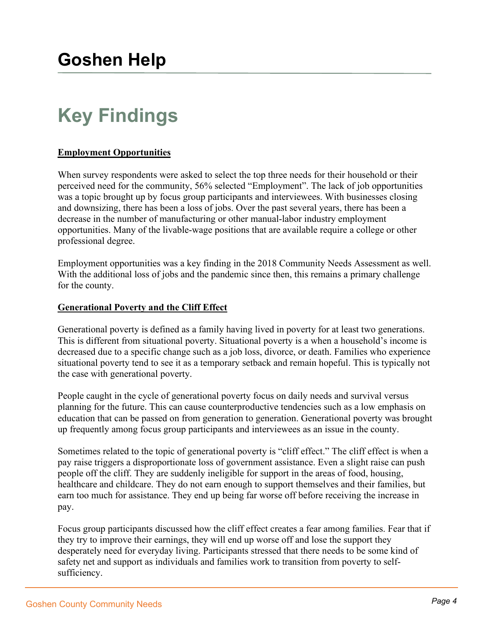# **Key Findings**

#### **Employment Opportunities**

When survey respondents were asked to select the top three needs for their household or their perceived need for the community, 56% selected "Employment". The lack of job opportunities was a topic brought up by focus group participants and interviewees. With businesses closing and downsizing, there has been a loss of jobs. Over the past several years, there has been a decrease in the number of manufacturing or other manual-labor industry employment opportunities. Many of the livable-wage positions that are available require a college or other professional degree.

Employment opportunities was a key finding in the 2018 Community Needs Assessment as well. With the additional loss of jobs and the pandemic since then, this remains a primary challenge for the county.

#### **Generational Poverty and the Cliff Effect**

Generational poverty is defined as a family having lived in poverty for at least two generations. This is different from situational poverty. Situational poverty is a when a household's income is decreased due to a specific change such as a job loss, divorce, or death. Families who experience situational poverty tend to see it as a temporary setback and remain hopeful. This is typically not the case with generational poverty.

People caught in the cycle of generational poverty focus on daily needs and survival versus planning for the future. This can cause counterproductive tendencies such as a low emphasis on education that can be passed on from generation to generation. Generational poverty was brought up frequently among focus group participants and interviewees as an issue in the county.

Sometimes related to the topic of generational poverty is "cliff effect." The cliff effect is when a pay raise triggers a disproportionate loss of government assistance. Even a slight raise can push people off the cliff. They are suddenly ineligible for support in the areas of food, housing, healthcare and childcare. They do not earn enough to support themselves and their families, but earn too much for assistance. They end up being far worse off before receiving the increase in pay.

Focus group participants discussed how the cliff effect creates a fear among families. Fear that if they try to improve their earnings, they will end up worse off and lose the support they desperately need for everyday living. Participants stressed that there needs to be some kind of safety net and support as individuals and families work to transition from poverty to selfsufficiency.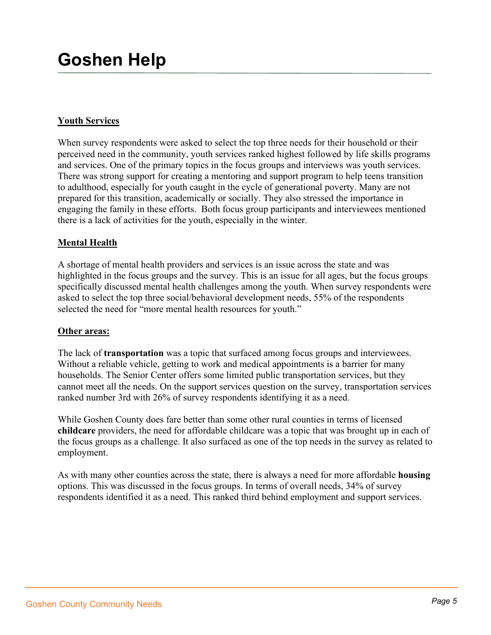#### **Youth Services**

When survey respondents were asked to select the top three needs for their household or their perceived need in the community, youth services ranked highest followed by life skills programs and services. One of the primary topics in the focus groups and interviews was youth services. There was strong support for creating a mentoring and support program to help teens transition to adulthood, especially for youth caught in the cycle of generational poverty. Many are not prepared for this transition, academically or socially. They also stressed the importance in engaging the family in these efforts. Both focus group participants and interviewees mentioned there is a lack of activities for the youth, especially in the winter.

#### **Mental Health**

A shortage of mental health providers and services is an issue across the state and was highlighted in the focus groups and the survey. This is an issue for all ages, but the focus groups specifically discussed mental health challenges among the youth. When survey respondents were asked to select the top three social/behavioral development needs, 55% of the respondents selected the need for "more mental health resources for youth."

#### **Other areas:**

The lack of **transportation** was a topic that surfaced among focus groups and interviewees. Without a reliable vehicle, getting to work and medical appointments is a barrier for many households. The Senior Center offers some limited public transportation services, but they cannot meet all the needs. On the support services question on the survey, transportation services ranked number 3rd with 26% of survey respondents identifying it as a need.

While Goshen County does fare better than some other rural counties in terms of licensed **childcare** providers, the need for affordable childcare was a topic that was brought up in each of the focus groups as a challenge. It also surfaced as one of the top needs in the survey as related to employment.

As with many other counties across the state, there is always a need for more affordable **housing**  options. This was discussed in the focus groups. In terms of overall needs, 34% of survey respondents identified it as a need. This ranked third behind employment and support services.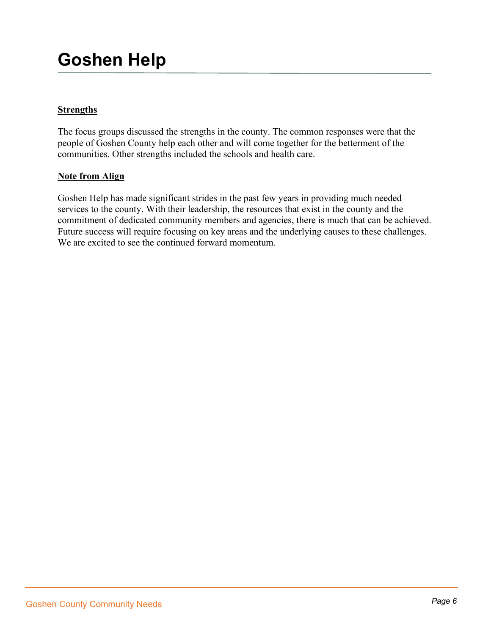### **Strengths**

The focus groups discussed the strengths in the county. The common responses were that the people of Goshen County help each other and will come together for the betterment of the communities. Other strengths included the schools and health care.

#### **Note from Align**

Goshen Help has made significant strides in the past few years in providing much needed services to the county. With their leadership, the resources that exist in the county and the commitment of dedicated community members and agencies, there is much that can be achieved. Future success will require focusing on key areas and the underlying causes to these challenges. We are excited to see the continued forward momentum.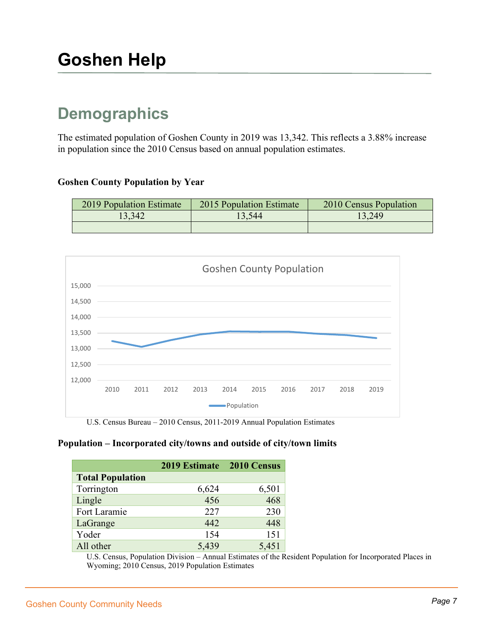## **Demographics**

The estimated population of Goshen County in 2019 was 13,342. This reflects a 3.88% increase in population since the 2010 Census based on annual population estimates.

#### **Goshen County Population by Year**

| 2019 Population Estimate | 2015 Population Estimate | 2010 Census Population |
|--------------------------|--------------------------|------------------------|
| 13,342                   | 3.544                    | 13,249                 |
|                          |                          |                        |



U.S. Census Bureau – 2010 Census, 2011-2019 Annual Population Estimates

#### **Population – Incorporated city/towns and outside of city/town limits**

|                         | 2019 Estimate | 2010 Census |
|-------------------------|---------------|-------------|
| <b>Total Population</b> |               |             |
| Torrington              | 6,624         | 6,501       |
| Lingle                  | 456           | 468         |
| Fort Laramie            | 227           | 230         |
| LaGrange                | 442           | 448         |
| Yoder                   | 154           | 151         |
| All other               | 5,439         | 5,451       |

U.S. Census, Population Division – Annual Estimates of the Resident Population for Incorporated Places in Wyoming; 2010 Census, 2019 Population Estimates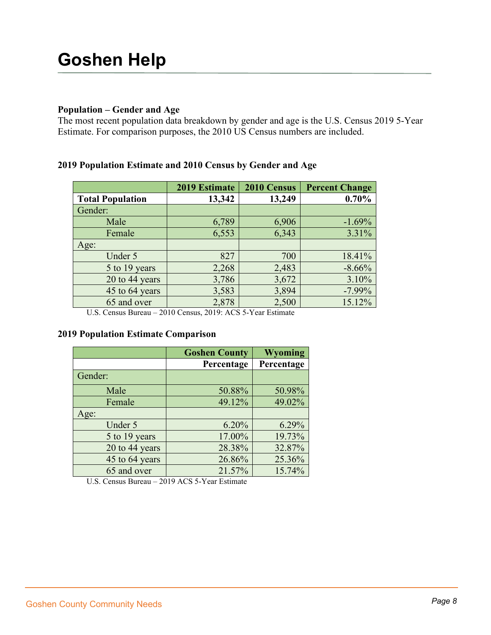#### **Population – Gender and Age**

The most recent population data breakdown by gender and age is the U.S. Census 2019 5-Year Estimate. For comparison purposes, the 2010 US Census numbers are included.

#### **2019 Population Estimate and 2010 Census by Gender and Age**

|                         | 2019 Estimate | 2010 Census | <b>Percent Change</b> |
|-------------------------|---------------|-------------|-----------------------|
| <b>Total Population</b> | 13,342        | 13,249      | 0.70%                 |
| Gender:                 |               |             |                       |
| Male                    | 6,789         | 6,906       | $-1.69%$              |
| Female                  | 6,553         | 6,343       | 3.31%                 |
| Age:                    |               |             |                       |
| Under 5                 | 827           | 700         | 18.41%                |
| 5 to 19 years           | 2,268         | 2,483       | $-8.66%$              |
| 20 to 44 years          | 3,786         | 3,672       | 3.10%                 |
| 45 to 64 years          | 3,583         | 3,894       | $-7.99%$              |
| 65 and over             | 2,878         | 2,500       | 15.12%                |

U.S. Census Bureau – 2010 Census, 2019: ACS 5-Year Estimate

#### **2019 Population Estimate Comparison**

|                | <b>Goshen County</b> | <b>Wyoming</b> |
|----------------|----------------------|----------------|
|                | Percentage           | Percentage     |
| Gender:        |                      |                |
| Male           | 50.88%               | 50.98%         |
| Female         | 49.12%               | 49.02%         |
| Age:           |                      |                |
| Under 5        | 6.20%                | 6.29%          |
| 5 to 19 years  | 17.00%               | 19.73%         |
| 20 to 44 years | 28.38%               | 32.87%         |
| 45 to 64 years | 26.86%               | 25.36%         |
| 65 and over    | 21.57%               | 15.74%         |

U.S. Census Bureau – 2019 ACS 5-Year Estimate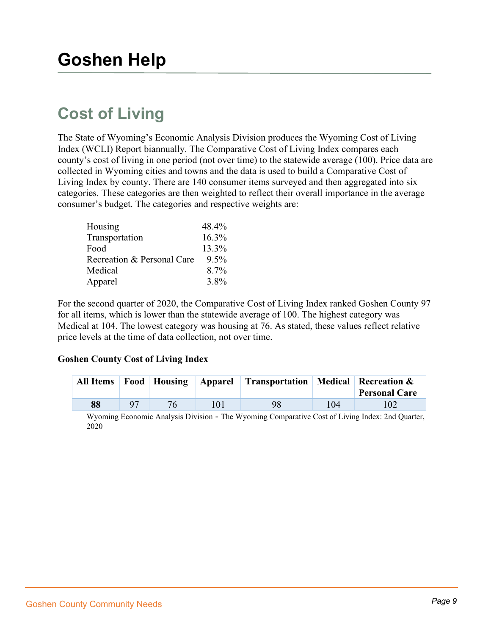## **Cost of Living**

The State of Wyoming's Economic Analysis Division produces the Wyoming Cost of Living Index (WCLI) Report biannually. The Comparative Cost of Living Index compares each county's cost of living in one period (not over time) to the statewide average (100). Price data are collected in Wyoming cities and towns and the data is used to build a Comparative Cost of Living Index by county. There are 140 consumer items surveyed and then aggregated into six categories. These categories are then weighted to reflect their overall importance in the average consumer's budget. The categories and respective weights are:

| Housing                    | 48.4%   |
|----------------------------|---------|
| Transportation             | 16.3%   |
| Food                       | 13.3%   |
| Recreation & Personal Care | $9.5\%$ |
| Medical                    | 8.7%    |
| Apparel                    | 3.8%    |

For the second quarter of 2020, the Comparative Cost of Living Index ranked Goshen County 97 for all items, which is lower than the statewide average of 100. The highest category was Medical at 104. The lowest category was housing at 76. As stated, these values reflect relative price levels at the time of data collection, not over time.

#### **Goshen County Cost of Living Index**

| <b>All Items</b> |                |    | <b>Food Housing Apparel Transportation Medical Recreation &amp;</b> |     | <b>Personal Care</b> |
|------------------|----------------|----|---------------------------------------------------------------------|-----|----------------------|
| 88               | Q <sub>7</sub> | 76 | 98                                                                  | 104 |                      |

Wyoming Economic Analysis Division - The Wyoming Comparative Cost of Living Index: 2nd Quarter, 2020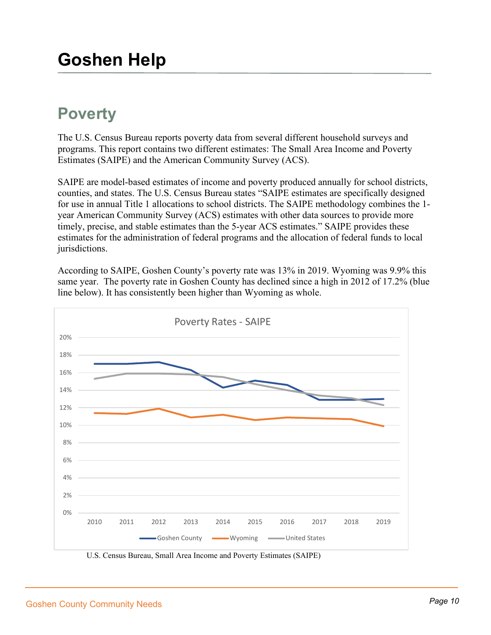## **Poverty**

The U.S. Census Bureau reports poverty data from several different household surveys and programs. This report contains two different estimates: The Small Area Income and Poverty Estimates (SAIPE) and the American Community Survey (ACS).

SAIPE are model-based estimates of income and poverty produced annually for school districts, counties, and states. The U.S. Census Bureau states "SAIPE estimates are specifically designed for use in annual Title 1 allocations to school districts. The SAIPE methodology combines the 1 year American Community Survey (ACS) estimates with other data sources to provide more timely, precise, and stable estimates than the 5-year ACS estimates." SAIPE provides these estimates for the administration of federal programs and the allocation of federal funds to local jurisdictions.

According to SAIPE, Goshen County's poverty rate was 13% in 2019. Wyoming was 9.9% this same year. The poverty rate in Goshen County has declined since a high in 2012 of 17.2% (blue line below). It has consistently been higher than Wyoming as whole.



U.S. Census Bureau, Small Area Income and Poverty Estimates (SAIPE)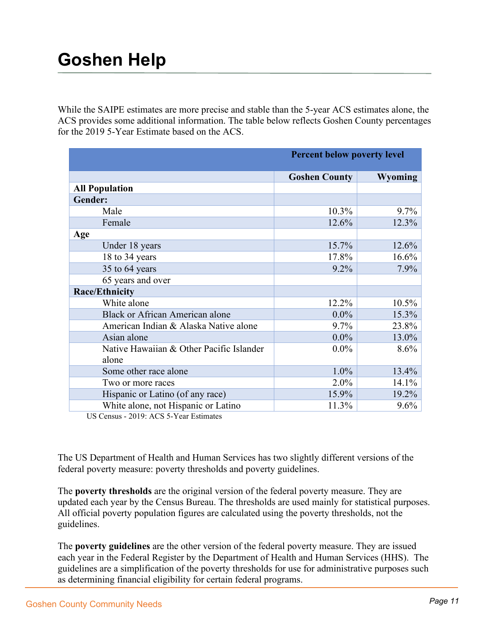While the SAIPE estimates are more precise and stable than the 5-year ACS estimates alone, the ACS provides some additional information. The table below reflects Goshen County percentages for the 2019 5-Year Estimate based on the ACS.

|                                          | <b>Percent below poverty level</b> |                |  |
|------------------------------------------|------------------------------------|----------------|--|
|                                          | <b>Goshen County</b>               | <b>Wyoming</b> |  |
| <b>All Population</b>                    |                                    |                |  |
| Gender:                                  |                                    |                |  |
| Male                                     | 10.3%                              | $9.7\%$        |  |
| Female                                   | 12.6%                              | 12.3%          |  |
| Age                                      |                                    |                |  |
| Under 18 years                           | 15.7%                              | 12.6%          |  |
| 18 to 34 years                           | 17.8%                              | 16.6%          |  |
| 35 to 64 years                           | $9.2\%$                            | 7.9%           |  |
| 65 years and over                        |                                    |                |  |
| <b>Race/Ethnicity</b>                    |                                    |                |  |
| White alone                              | 12.2%                              | 10.5%          |  |
| <b>Black or African American alone</b>   | $0.0\%$                            | 15.3%          |  |
| American Indian & Alaska Native alone    | 9.7%                               | 23.8%          |  |
| Asian alone                              | $0.0\%$                            | 13.0%          |  |
| Native Hawaiian & Other Pacific Islander | $0.0\%$                            | 8.6%           |  |
| alone                                    |                                    |                |  |
| Some other race alone                    | 1.0%                               | 13.4%          |  |
| Two or more races                        | $2.0\%$                            | 14.1%          |  |
| Hispanic or Latino (of any race)         | 15.9%                              | 19.2%          |  |
| White alone, not Hispanic or Latino      | 11.3%                              | 9.6%           |  |

US Census - 2019: ACS 5-Year Estimates

The US Department of Health and Human Services has two slightly different versions of the federal poverty measure: poverty thresholds and poverty guidelines.

The **poverty thresholds** are the original version of the federal poverty measure. They are updated each year by the Census Bureau. The thresholds are used mainly for statistical purposes. All official poverty population figures are calculated using the poverty thresholds, not the guidelines.

The **poverty guidelines** are the other version of the federal poverty measure. They are issued each year in the Federal Register by the Department of Health and Human Services (HHS). The guidelines are a simplification of the poverty thresholds for use for administrative purposes such as determining financial eligibility for certain federal programs.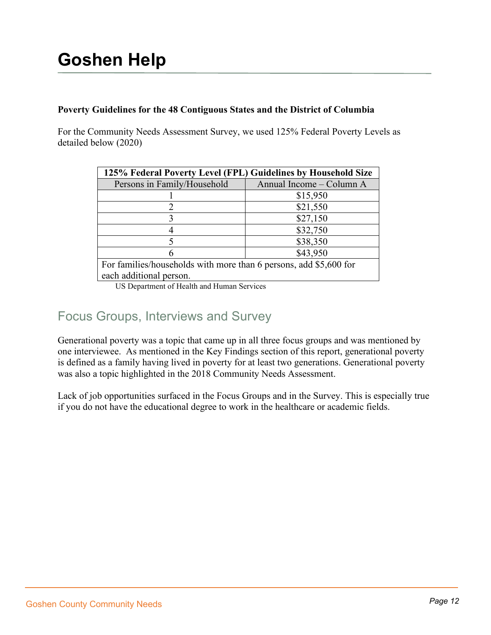#### **Poverty Guidelines for the 48 Contiguous States and the District of Columbia**

For the Community Needs Assessment Survey, we used 125% Federal Poverty Levels as detailed below (2020)

| 125% Federal Poverty Level (FPL) Guidelines by Household Size     |                          |  |  |  |
|-------------------------------------------------------------------|--------------------------|--|--|--|
| Persons in Family/Household                                       | Annual Income - Column A |  |  |  |
|                                                                   | \$15,950                 |  |  |  |
|                                                                   | \$21,550                 |  |  |  |
|                                                                   | \$27,150                 |  |  |  |
|                                                                   | \$32,750                 |  |  |  |
| 5                                                                 | \$38,350                 |  |  |  |
| 6                                                                 | \$43,950                 |  |  |  |
| For families/households with more than 6 persons, add \$5,600 for |                          |  |  |  |
| each additional person.                                           |                          |  |  |  |

US Department of Health and Human Services

## Focus Groups, Interviews and Survey

Generational poverty was a topic that came up in all three focus groups and was mentioned by one interviewee. As mentioned in the Key Findings section of this report, generational poverty is defined as a family having lived in poverty for at least two generations. Generational poverty was also a topic highlighted in the 2018 Community Needs Assessment.

Lack of job opportunities surfaced in the Focus Groups and in the Survey. This is especially true if you do not have the educational degree to work in the healthcare or academic fields.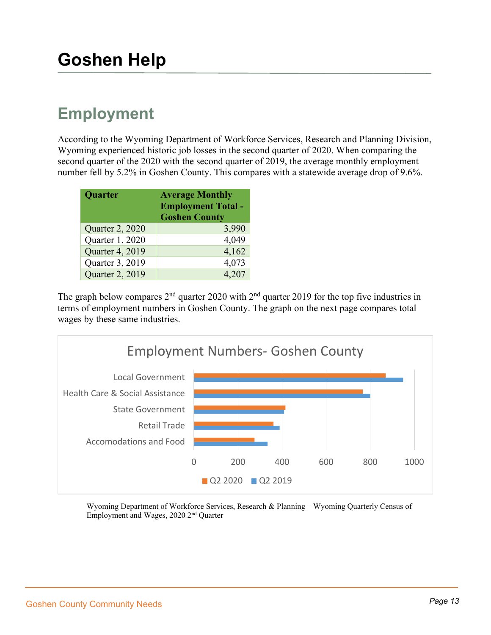## **Employment**

According to the Wyoming Department of Workforce Services, Research and Planning Division, Wyoming experienced historic job losses in the second quarter of 2020. When comparing the second quarter of the 2020 with the second quarter of 2019, the average monthly employment number fell by 5.2% in Goshen County. This compares with a statewide average drop of 9.6%.

| Quarter         | <b>Average Monthly</b><br><b>Employment Total -</b><br><b>Goshen County</b> |  |
|-----------------|-----------------------------------------------------------------------------|--|
| Quarter 2, 2020 | 3,990                                                                       |  |
| Quarter 1, 2020 | 4,049                                                                       |  |
| Quarter 4, 2019 | 4,162                                                                       |  |
| Quarter 3, 2019 | 4,073                                                                       |  |
| Quarter 2, 2019 | 4.207                                                                       |  |

The graph below compares  $2<sup>nd</sup>$  quarter 2020 with  $2<sup>nd</sup>$  quarter 2019 for the top five industries in terms of employment numbers in Goshen County. The graph on the next page compares total wages by these same industries.



Wyoming Department of Workforce Services, Research & Planning – Wyoming Quarterly Census of Employment and Wages, 2020 2nd Quarter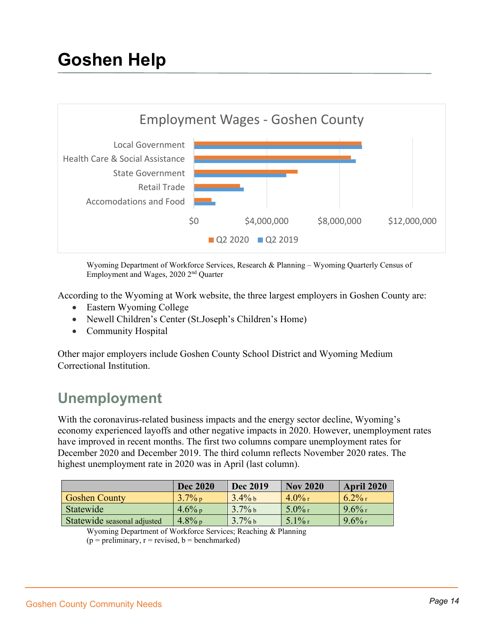

Wyoming Department of Workforce Services, Research & Planning – Wyoming Quarterly Census of Employment and Wages, 2020 2nd Quarter

According to the Wyoming at Work website, the three largest employers in Goshen County are:

- Eastern Wyoming College
- Newell Children's Center (St.Joseph's Children's Home)
- Community Hospital

Other major employers include Goshen County School District and Wyoming Medium Correctional Institution.

## **Unemployment**

With the coronavirus-related business impacts and the energy sector decline, Wyoming's economy experienced layoffs and other negative impacts in 2020. However, unemployment rates have improved in recent months. The first two columns compare unemployment rates for December 2020 and December 2019. The third column reflects November 2020 rates. The highest unemployment rate in 2020 was in April (last column).

|                             | <b>Dec 2020</b> | <b>Dec 2019</b> | <b>Nov 2020</b> | April 2020 |
|-----------------------------|-----------------|-----------------|-----------------|------------|
| <b>Goshen County</b>        | $3.7\%$ p       | $3.4\%$ b       | $-4.0\%$ r      | $6.2\%$ r  |
| Statewide                   | $4.6\%$ p       | $3.7\%$ b       | $5.0\%$ r       | $9.6\%$ r  |
| Statewide seasonal adjusted | $4.8\%$ p       | $3.7\%$ b       | $5.1\%$ r       | $9.6\%$ r  |

Wyoming Department of Workforce Services; Reaching & Planning

 $(p = preliminary, r = revised, b = benchmark)$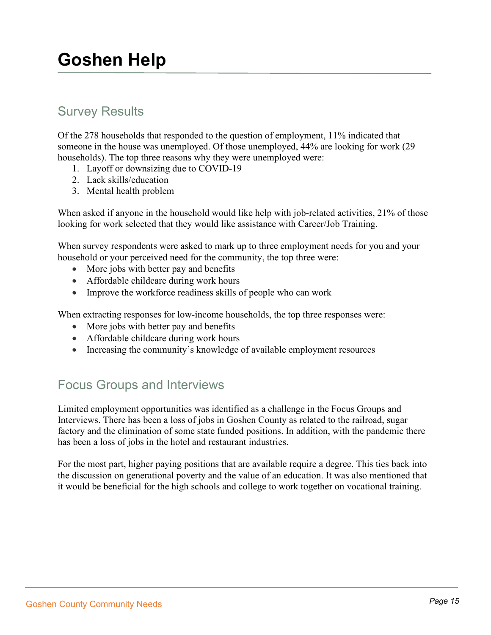## Survey Results

Of the 278 households that responded to the question of employment, 11% indicated that someone in the house was unemployed. Of those unemployed, 44% are looking for work (29 households). The top three reasons why they were unemployed were:

- 1. Layoff or downsizing due to COVID-19
- 2. Lack skills/education
- 3. Mental health problem

When asked if anyone in the household would like help with job-related activities, 21% of those looking for work selected that they would like assistance with Career/Job Training.

When survey respondents were asked to mark up to three employment needs for you and your household or your perceived need for the community, the top three were:

- More jobs with better pay and benefits
- Affordable childcare during work hours
- Improve the workforce readiness skills of people who can work

When extracting responses for low-income households, the top three responses were:

- More jobs with better pay and benefits
- Affordable childcare during work hours
- Increasing the community's knowledge of available employment resources

## Focus Groups and Interviews

Limited employment opportunities was identified as a challenge in the Focus Groups and Interviews. There has been a loss of jobs in Goshen County as related to the railroad, sugar factory and the elimination of some state funded positions. In addition, with the pandemic there has been a loss of jobs in the hotel and restaurant industries.

For the most part, higher paying positions that are available require a degree. This ties back into the discussion on generational poverty and the value of an education. It was also mentioned that it would be beneficial for the high schools and college to work together on vocational training.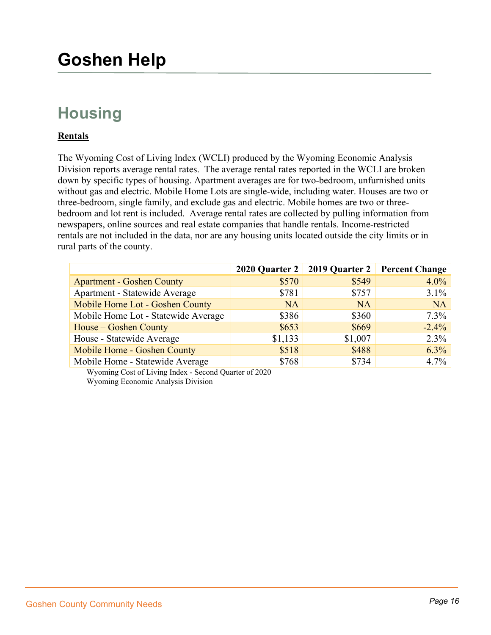## **Housing**

#### **Rentals**

The Wyoming Cost of Living Index (WCLI) produced by the Wyoming Economic Analysis Division reports average rental rates. The average rental rates reported in the WCLI are broken down by specific types of housing. Apartment averages are for two-bedroom, unfurnished units without gas and electric. Mobile Home Lots are single-wide, including water. Houses are two or three-bedroom, single family, and exclude gas and electric. Mobile homes are two or threebedroom and lot rent is included. Average rental rates are collected by pulling information from newspapers, online sources and real estate companies that handle rentals. Income-restricted rentals are not included in the data, nor are any housing units located outside the city limits or in rural parts of the county.

|                                     | 2020 Quarter $2 \mid$ |           | 2019 Quarter 2 Percent Change |
|-------------------------------------|-----------------------|-----------|-------------------------------|
| <b>Apartment - Goshen County</b>    | \$570                 | \$549     | $4.0\%$                       |
| Apartment - Statewide Average       | \$781                 | \$757     | $3.1\%$                       |
| Mobile Home Lot - Goshen County     | <b>NA</b>             | <b>NA</b> | <b>NA</b>                     |
| Mobile Home Lot - Statewide Average | \$386                 | \$360     | $7.3\%$                       |
| House – Goshen County               | \$653                 | \$669     | $-2.4%$                       |
| House - Statewide Average           | \$1,133               | \$1,007   | 2.3%                          |
| Mobile Home - Goshen County         | \$518                 | \$488     | 6.3%                          |
| Mobile Home - Statewide Average     | \$768                 | \$734     | 4.7%                          |

Wyoming Cost of Living Index - Second Quarter of 2020 Wyoming Economic Analysis Division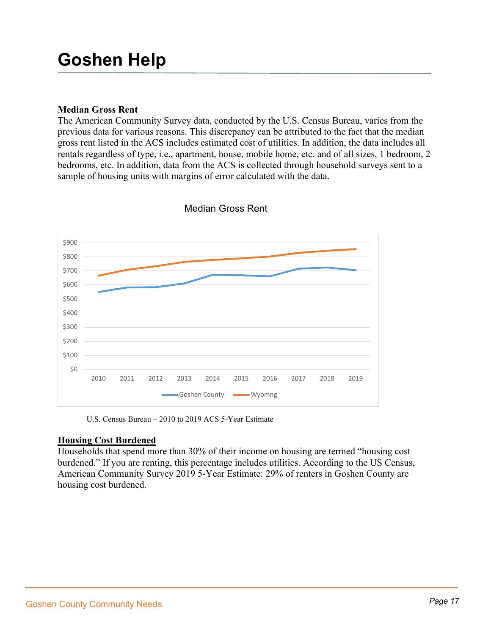#### **Median Gross Rent**

The American Community Survey data, conducted by the U.S. Census Bureau, varies from the previous data for various reasons. This discrepancy can be attributed to the fact that the median gross rent listed in the ACS includes estimated cost of utilities. In addition, the data includes all rentals regardless of type, i.e., apartment, house, mobile home, etc. and of all sizes, 1 bedroom, 2 bedrooms, etc. In addition, data from the ACS is collected through household surveys sent to a sample of housing units with margins of error calculated with the data.



Median Gross Rent

U.S. Census Bureau – 2010 to 2019 ACS 5-Year Estimate

#### **Housing Cost Burdened**

Households that spend more than 30% of their income on housing are termed "housing cost burdened." If you are renting, this percentage includes utilities. According to the US Census, American Community Survey 2019 5-Year Estimate: 29% of renters in Goshen County are housing cost burdened.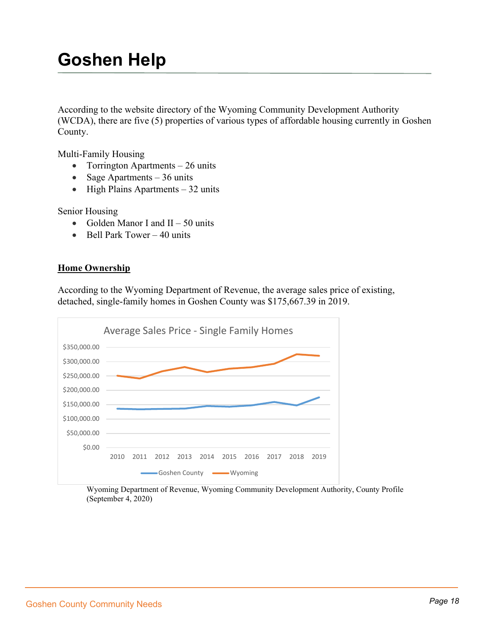According to the website directory of the Wyoming Community Development Authority (WCDA), there are five (5) properties of various types of affordable housing currently in Goshen County.

Multi-Family Housing

- Torrington Apartments 26 units
- Sage Apartments 36 units
- High Plains Apartments 32 units

Senior Housing

- Golden Manor I and  $II 50$  units
- Bell Park Tower 40 units

#### **Home Ownership**

According to the Wyoming Department of Revenue, the average sales price of existing, detached, single-family homes in Goshen County was \$175,667.39 in 2019.



Wyoming Department of Revenue, Wyoming Community Development Authority, County Profile (September 4, 2020)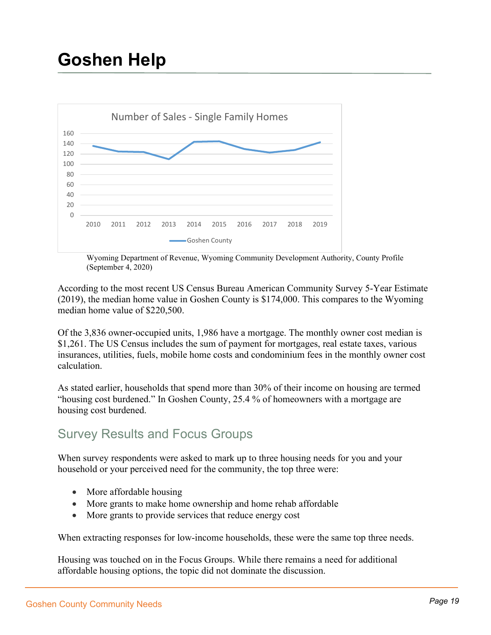

Wyoming Department of Revenue, Wyoming Community Development Authority, County Profile (September 4, 2020)

According to the most recent US Census Bureau American Community Survey 5-Year Estimate (2019), the median home value in Goshen County is \$174,000. This compares to the Wyoming median home value of \$220,500.

Of the 3,836 owner-occupied units, 1,986 have a mortgage. The monthly owner cost median is \$1,261. The US Census includes the sum of payment for mortgages, real estate taxes, various insurances, utilities, fuels, mobile home costs and condominium fees in the monthly owner cost calculation.

As stated earlier, households that spend more than 30% of their income on housing are termed "housing cost burdened." In Goshen County, 25.4 % of homeowners with a mortgage are housing cost burdened.

## Survey Results and Focus Groups

When survey respondents were asked to mark up to three housing needs for you and your household or your perceived need for the community, the top three were:

- More affordable housing
- More grants to make home ownership and home rehab affordable
- More grants to provide services that reduce energy cost

When extracting responses for low-income households, these were the same top three needs.

Housing was touched on in the Focus Groups. While there remains a need for additional affordable housing options, the topic did not dominate the discussion.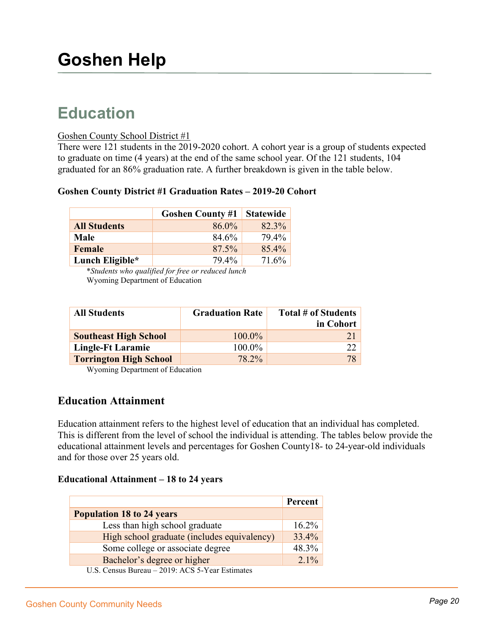## **Education**

#### Goshen County School District #1

There were 121 students in the 2019-2020 cohort. A cohort year is a group of students expected to graduate on time (4 years) at the end of the same school year. Of the 121 students, 104 graduated for an 86% graduation rate. A further breakdown is given in the table below.

#### **Goshen County District #1 Graduation Rates – 2019-20 Cohort**

|                     | <b>Goshen County #1   Statewide</b> |       |
|---------------------|-------------------------------------|-------|
| <b>All Students</b> | 86.0%                               | 82.3% |
| Male                | 84.6%                               | 79.4% |
| Female              | 87.5%                               | 85.4% |
| Lunch Eligible*     | 79.4%                               | 71.6% |

\**Students who qualified for free or reduced lunch*  Wyoming Department of Education

| <b>All Students</b>           | <b>Graduation Rate</b> | Total # of Students |
|-------------------------------|------------------------|---------------------|
|                               |                        | in Cohort           |
| <b>Southeast High School</b>  | 100.0%                 | 21                  |
| Lingle-Ft Laramie             | 100.0%                 | 22                  |
| <b>Torrington High School</b> | 78.2%                  | 78                  |

Wyoming Department of Education

### **Education Attainment**

Education attainment refers to the highest level of education that an individual has completed. This is different from the level of school the individual is attending. The tables below provide the educational attainment levels and percentages for Goshen County18- to 24-year-old individuals and for those over 25 years old.

#### **Educational Attainment – 18 to 24 years**

|                                                                  | <b>Percent</b> |
|------------------------------------------------------------------|----------------|
| <b>Population 18 to 24 years</b>                                 |                |
| Less than high school graduate                                   | $16.2\%$       |
| High school graduate (includes equivalency)                      | $33.4\%$       |
| Some college or associate degree                                 | 48.3%          |
| Bachelor's degree or higher                                      | $2.1\%$        |
| $\overline{C}$ Consus Durson 2010: $\Lambda$ CS 5 Voor Estimator |                |

U.S. Census Bureau – 2019: ACS 5-Year Estimates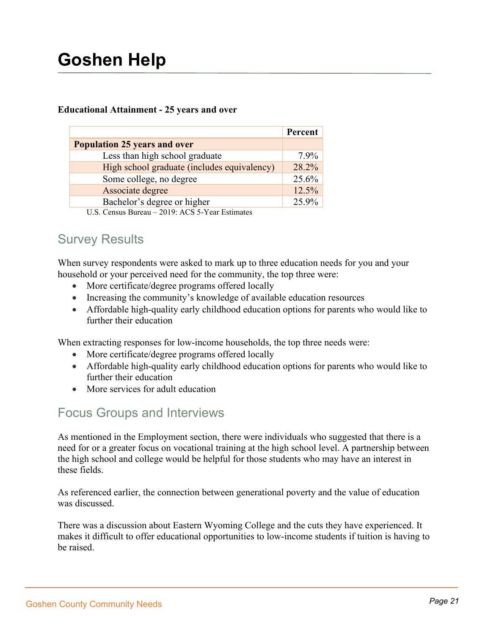#### **Educational Attainment - 25 years and over**

|                                                                                                     | Percent  |
|-----------------------------------------------------------------------------------------------------|----------|
| <b>Population 25 years and over</b>                                                                 |          |
| Less than high school graduate                                                                      | $7.9\%$  |
| High school graduate (includes equivalency)                                                         | 28.2%    |
| Some college, no degree                                                                             | 25.6%    |
| Associate degree                                                                                    | $12.5\%$ |
| Bachelor's degree or higher                                                                         | 25.9%    |
| $0.10 \pm 0.07$ $\pm 37$<br>$\mathbf{r}$<br>$\mathbf{H} \cap \mathbf{C}$ is the set of $\mathbf{D}$ |          |

U.S. Census Bureau –  $2019$ : ACS 5-Year Estimates

## Survey Results

When survey respondents were asked to mark up to three education needs for you and your household or your perceived need for the community, the top three were:

- More certificate/degree programs offered locally
- Increasing the community's knowledge of available education resources
- Affordable high-quality early childhood education options for parents who would like to further their education

When extracting responses for low-income households, the top three needs were:

- More certificate/degree programs offered locally
- Affordable high-quality early childhood education options for parents who would like to further their education
- More services for adult education

## Focus Groups and Interviews

As mentioned in the Employment section, there were individuals who suggested that there is a need for or a greater focus on vocational training at the high school level. A partnership between the high school and college would be helpful for those students who may have an interest in these fields.

As referenced earlier, the connection between generational poverty and the value of education was discussed.

There was a discussion about Eastern Wyoming College and the cuts they have experienced. It makes it difficult to offer educational opportunities to low-income students if tuition is having to be raised.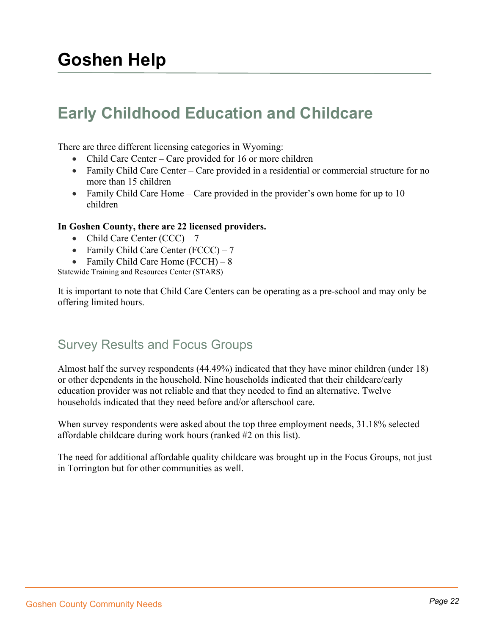## **Early Childhood Education and Childcare**

There are three different licensing categories in Wyoming:

- Child Care Center Care provided for 16 or more children
- Family Child Care Center Care provided in a residential or commercial structure for no more than 15 children
- Family Child Care Home Care provided in the provider's own home for up to 10 children

#### **In Goshen County, there are 22 licensed providers.**

- Child Care Center  $(CCC) 7$
- Family Child Care Center  $(FCCC) 7$
- Family Child Care Home (FCCH) 8

Statewide Training and Resources Center (STARS)

It is important to note that Child Care Centers can be operating as a pre-school and may only be offering limited hours.

## Survey Results and Focus Groups

Almost half the survey respondents (44.49%) indicated that they have minor children (under 18) or other dependents in the household. Nine households indicated that their childcare/early education provider was not reliable and that they needed to find an alternative. Twelve households indicated that they need before and/or afterschool care.

When survey respondents were asked about the top three employment needs, 31.18% selected affordable childcare during work hours (ranked #2 on this list).

The need for additional affordable quality childcare was brought up in the Focus Groups, not just in Torrington but for other communities as well.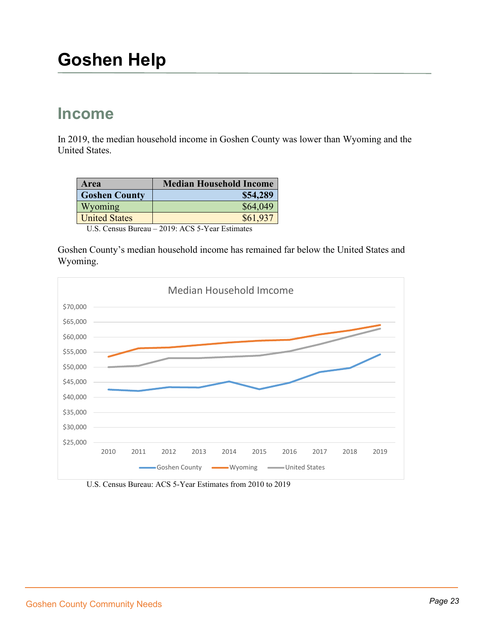## **Income**

In 2019, the median household income in Goshen County was lower than Wyoming and the United States.

| Area                 | <b>Median Household Income</b> |
|----------------------|--------------------------------|
| <b>Goshen County</b> | \$54,289                       |
| Wyoming              | \$64,049                       |
| <b>United States</b> | \$61,937                       |

U.S. Census Bureau – 2019: ACS 5-Year Estimates

Goshen County's median household income has remained far below the United States and Wyoming.



U.S. Census Bureau: ACS 5-Year Estimates from 2010 to 2019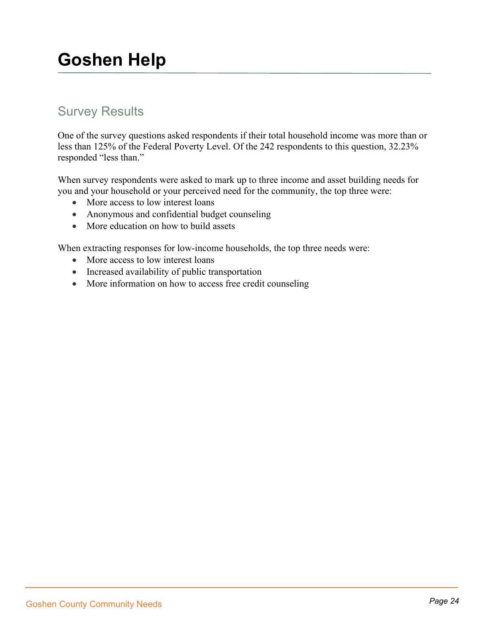## Survey Results

One of the survey questions asked respondents if their total household income was more than or less than 125% of the Federal Poverty Level. Of the 242 respondents to this question, 32.23% responded "less than."

When survey respondents were asked to mark up to three income and asset building needs for you and your household or your perceived need for the community, the top three were:

- More access to low interest loans
- Anonymous and confidential budget counseling
- More education on how to build assets

When extracting responses for low-income households, the top three needs were:

- More access to low interest loans
- Increased availability of public transportation
- More information on how to access free credit counseling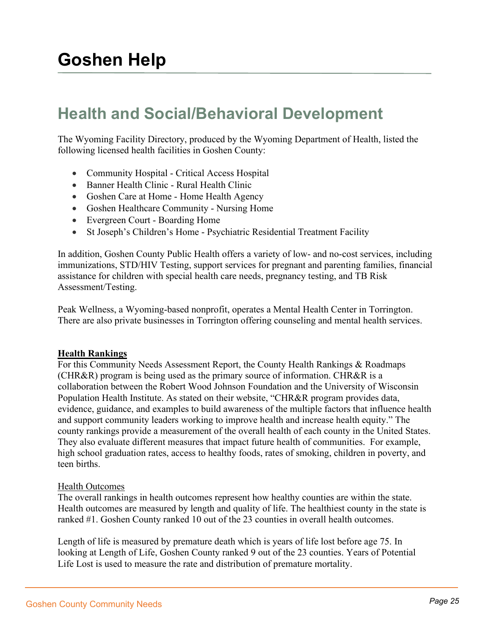## **Health and Social/Behavioral Development**

The Wyoming Facility Directory, produced by the Wyoming Department of Health, listed the following licensed health facilities in Goshen County:

- Community Hospital Critical Access Hospital
- Banner Health Clinic Rural Health Clinic
- Goshen Care at Home Home Health Agency
- Goshen Healthcare Community Nursing Home
- Evergreen Court Boarding Home
- St Joseph's Children's Home Psychiatric Residential Treatment Facility

In addition, Goshen County Public Health offers a variety of low- and no-cost services, including immunizations, STD/HIV Testing, support services for pregnant and parenting families, financial assistance for children with special health care needs, pregnancy testing, and TB Risk Assessment/Testing.

Peak Wellness, a Wyoming-based nonprofit, operates a Mental Health Center in Torrington. There are also private businesses in Torrington offering counseling and mental health services.

#### **Health Rankings**

For this Community Needs Assessment Report, the County Health Rankings & Roadmaps (CHR&R) program is being used as the primary source of information. CHR&R is a collaboration between the Robert Wood Johnson Foundation and the University of Wisconsin Population Health Institute. As stated on their website, "CHR&R program provides data, evidence, guidance, and examples to build awareness of the multiple factors that influence health and support community leaders working to improve health and increase health equity." The county rankings provide a measurement of the overall health of each county in the United States. They also evaluate different measures that impact future health of communities. For example, high school graduation rates, access to healthy foods, rates of smoking, children in poverty, and teen births.

#### Health Outcomes

The overall rankings in health outcomes represent how healthy counties are within the state. Health outcomes are measured by length and quality of life. The healthiest county in the state is ranked #1. Goshen County ranked 10 out of the 23 counties in overall health outcomes.

Length of life is measured by premature death which is years of life lost before age 75. In looking at Length of Life, Goshen County ranked 9 out of the 23 counties. Years of Potential Life Lost is used to measure the rate and distribution of premature mortality.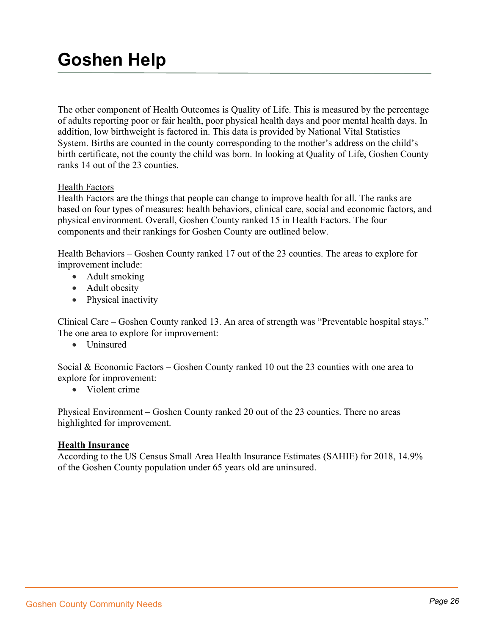The other component of Health Outcomes is Quality of Life. This is measured by the percentage of adults reporting poor or fair health, poor physical health days and poor mental health days. In addition, low birthweight is factored in. This data is provided by National Vital Statistics System. Births are counted in the county corresponding to the mother's address on the child's birth certificate, not the county the child was born. In looking at Quality of Life, Goshen County ranks 14 out of the 23 counties.

#### Health Factors

Health Factors are the things that people can change to improve health for all. The ranks are based on four types of measures: health behaviors, clinical care, social and economic factors, and physical environment. Overall, Goshen County ranked 15 in Health Factors. The four components and their rankings for Goshen County are outlined below.

Health Behaviors – Goshen County ranked 17 out of the 23 counties. The areas to explore for improvement include:

- Adult smoking
- Adult obesity
- Physical inactivity

Clinical Care – Goshen County ranked 13. An area of strength was "Preventable hospital stays." The one area to explore for improvement:

• Uninsured

Social & Economic Factors – Goshen County ranked 10 out the 23 counties with one area to explore for improvement:

• Violent crime

Physical Environment – Goshen County ranked 20 out of the 23 counties. There no areas highlighted for improvement.

#### **Health Insurance**

According to the US Census Small Area Health Insurance Estimates (SAHIE) for 2018, 14.9% of the Goshen County population under 65 years old are uninsured.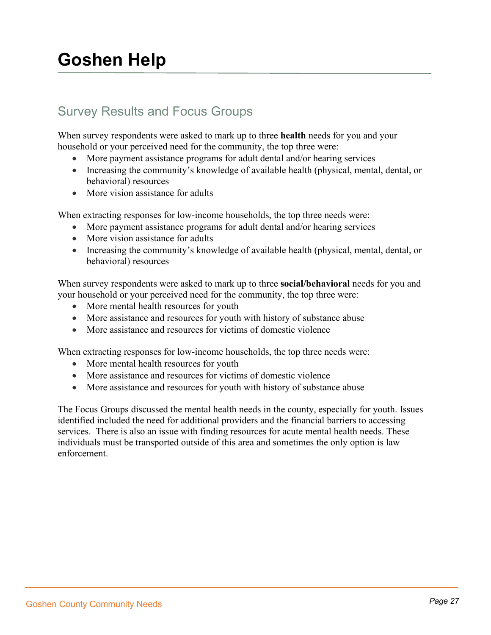## Survey Results and Focus Groups

When survey respondents were asked to mark up to three **health** needs for you and your household or your perceived need for the community, the top three were:

- More payment assistance programs for adult dental and/or hearing services
- Increasing the community's knowledge of available health (physical, mental, dental, or behavioral) resources
- More vision assistance for adults

When extracting responses for low-income households, the top three needs were:

- More payment assistance programs for adult dental and/or hearing services
- More vision assistance for adults
- Increasing the community's knowledge of available health (physical, mental, dental, or behavioral) resources

When survey respondents were asked to mark up to three **social/behavioral** needs for you and your household or your perceived need for the community, the top three were:

- More mental health resources for youth
- More assistance and resources for youth with history of substance abuse
- More assistance and resources for victims of domestic violence

When extracting responses for low-income households, the top three needs were:

- More mental health resources for youth
- More assistance and resources for victims of domestic violence
- More assistance and resources for youth with history of substance abuse

The Focus Groups discussed the mental health needs in the county, especially for youth. Issues identified included the need for additional providers and the financial barriers to accessing services. There is also an issue with finding resources for acute mental health needs. These individuals must be transported outside of this area and sometimes the only option is law enforcement.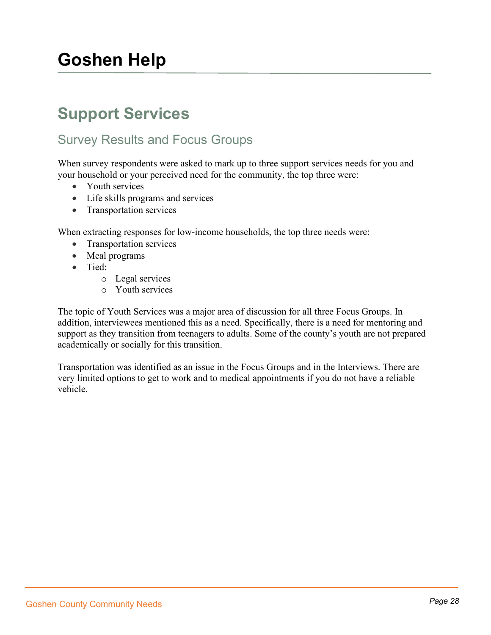## **Support Services**

## Survey Results and Focus Groups

When survey respondents were asked to mark up to three support services needs for you and your household or your perceived need for the community, the top three were:

- Youth services
- Life skills programs and services
- Transportation services

When extracting responses for low-income households, the top three needs were:

- Transportation services
- Meal programs
- Tied:
	- o Legal services
	- o Youth services

The topic of Youth Services was a major area of discussion for all three Focus Groups. In addition, interviewees mentioned this as a need. Specifically, there is a need for mentoring and support as they transition from teenagers to adults. Some of the county's youth are not prepared academically or socially for this transition.

Transportation was identified as an issue in the Focus Groups and in the Interviews. There are very limited options to get to work and to medical appointments if you do not have a reliable vehicle.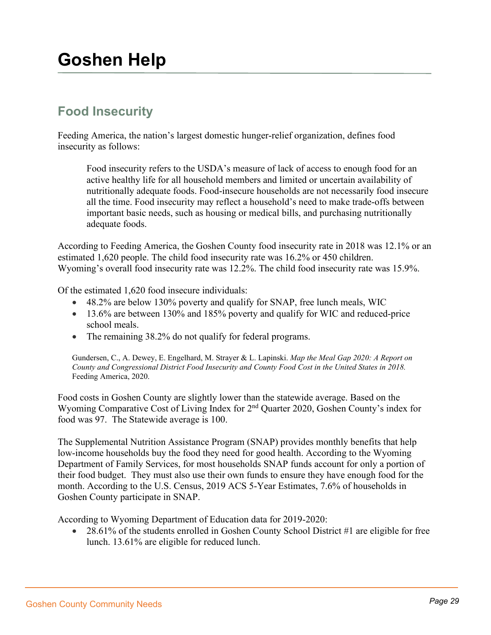## **Food Insecurity**

Feeding America, the nation's largest domestic hunger-relief organization, defines food insecurity as follows:

Food insecurity refers to the USDA's measure of lack of access to enough food for an active healthy life for all household members and limited or uncertain availability of nutritionally adequate foods. Food-insecure households are not necessarily food insecure all the time. Food insecurity may reflect a household's need to make trade-offs between important basic needs, such as housing or medical bills, and purchasing nutritionally adequate foods.

According to Feeding America, the Goshen County food insecurity rate in 2018 was 12.1% or an estimated 1,620 people. The child food insecurity rate was 16.2% or 450 children. Wyoming's overall food insecurity rate was 12.2%. The child food insecurity rate was 15.9%.

Of the estimated 1,620 food insecure individuals:

- 48.2% are below 130% poverty and qualify for SNAP, free lunch meals, WIC
- 13.6% are between 130% and 185% poverty and qualify for WIC and reduced-price school meals.
- The remaining 38.2% do not qualify for federal programs.

Gundersen, C., A. Dewey, E. Engelhard, M. Strayer & L. Lapinski. *Map the Meal Gap 2020: A Report on County and Congressional District Food Insecurity and County Food Cost in the United States in 2018.*  Feeding America, 2020.

Food costs in Goshen County are slightly lower than the statewide average. Based on the Wyoming Comparative Cost of Living Index for 2<sup>nd</sup> Quarter 2020, Goshen County's index for food was 97. The Statewide average is 100.

The Supplemental Nutrition Assistance Program (SNAP) provides monthly benefits that help low-income households buy the food they need for good health. According to the Wyoming Department of Family Services, for most households SNAP funds account for only a portion of their food budget. They must also use their own funds to ensure they have enough food for the month. According to the U.S. Census, 2019 ACS 5-Year Estimates, 7.6% of households in Goshen County participate in SNAP.

According to Wyoming Department of Education data for 2019-2020:

• 28.61% of the students enrolled in Goshen County School District #1 are eligible for free lunch. 13.61% are eligible for reduced lunch.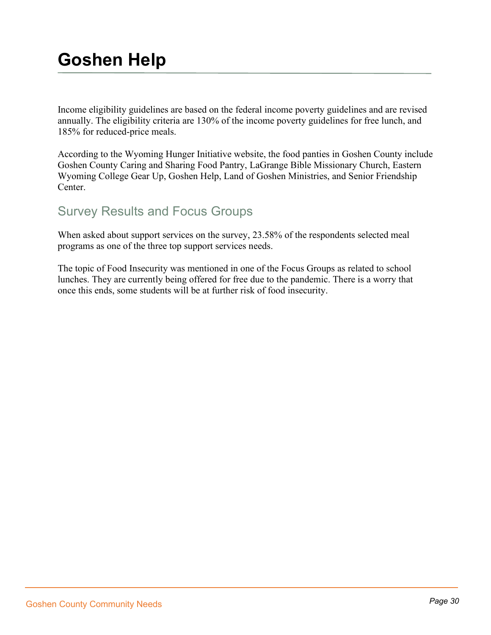Income eligibility guidelines are based on the federal income poverty guidelines and are revised annually. The eligibility criteria are 130% of the income poverty guidelines for free lunch, and 185% for reduced-price meals.

According to the Wyoming Hunger Initiative website, the food panties in Goshen County include Goshen County Caring and Sharing Food Pantry, LaGrange Bible Missionary Church, Eastern Wyoming College Gear Up, Goshen Help, Land of Goshen Ministries, and Senior Friendship Center.

## Survey Results and Focus Groups

When asked about support services on the survey, 23.58% of the respondents selected meal programs as one of the three top support services needs.

The topic of Food Insecurity was mentioned in one of the Focus Groups as related to school lunches. They are currently being offered for free due to the pandemic. There is a worry that once this ends, some students will be at further risk of food insecurity.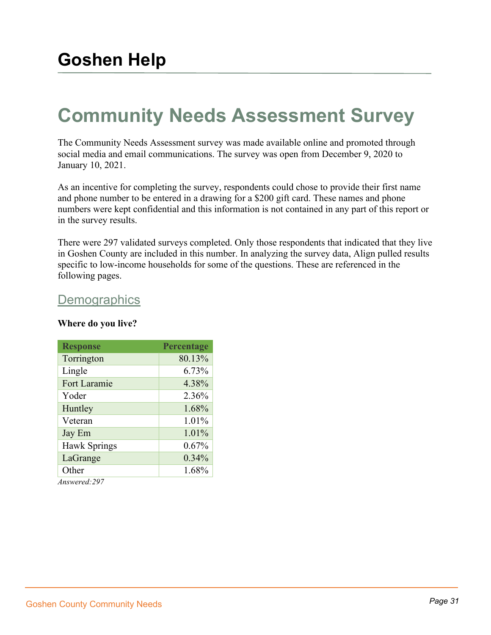# **Community Needs Assessment Survey**

The Community Needs Assessment survey was made available online and promoted through social media and email communications. The survey was open from December 9, 2020 to January 10, 2021.

As an incentive for completing the survey, respondents could chose to provide their first name and phone number to be entered in a drawing for a \$200 gift card. These names and phone numbers were kept confidential and this information is not contained in any part of this report or in the survey results.

There were 297 validated surveys completed. Only those respondents that indicated that they live in Goshen County are included in this number. In analyzing the survey data, Align pulled results specific to low-income households for some of the questions. These are referenced in the following pages.

## **Demographics**

#### **Where do you live?**

| Percentage |
|------------|
| 80.13%     |
| 6.73%      |
| 4.38%      |
| 2.36%      |
| 1.68%      |
| 1.01%      |
| 1.01%      |
| 0.67%      |
| 0.34%      |
| 1.68%      |
|            |

*Answered:297*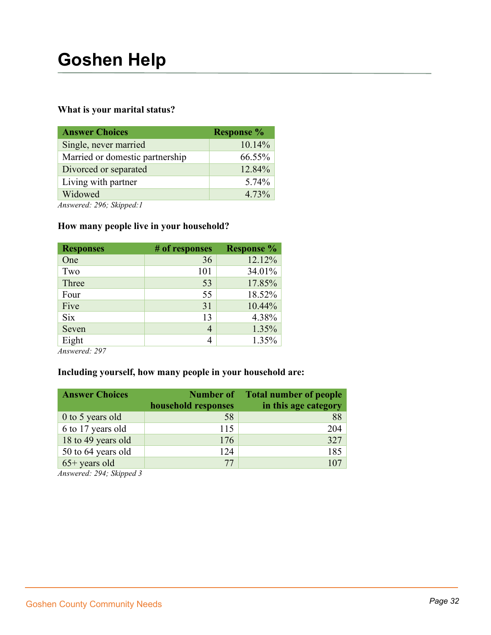#### **What is your marital status?**

| <b>Response %</b> |
|-------------------|
| 10.14%            |
| 66.55%            |
| 12.84%            |
| 5.74%             |
| 4.73%             |
|                   |

*Answered: 296; Skipped:1*

### **How many people live in your household?**

| <b>Responses</b> | # of responses | <b>Response</b> % |
|------------------|----------------|-------------------|
| One              | 36             | 12.12%            |
| Two              | 101            | 34.01%            |
| Three            | 53             | 17.85%            |
| Four             | 55             | 18.52%            |
| Five             | 31             | 10.44%            |
| <b>Six</b>       | 13             | 4.38%             |
| Seven            | 4              | 1.35%             |
| Eight            | 4              | 1.35%             |

*Answered: 297* 

### **Including yourself, how many people in your household are:**

| <b>Answer Choices</b> | Number of           | Total number of people |
|-----------------------|---------------------|------------------------|
|                       | household responses | in this age category   |
| 0 to 5 years old      | 58                  | 88                     |
| 6 to 17 years old     | 115                 | 204                    |
| 18 to 49 years old    | 176                 | 327                    |
| 50 to 64 years old    | 124                 | 185                    |
| $65+$ years old       | 77                  |                        |

*Answered: 294; Skipped 3*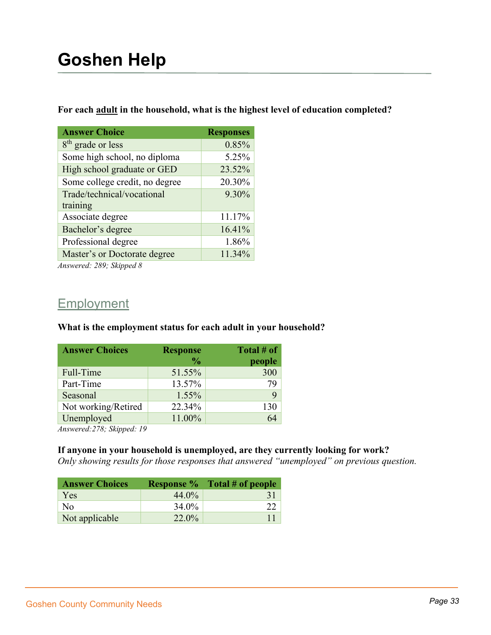#### **For each adult in the household, what is the highest level of education completed?**

| <b>Answer Choice</b>           | <b>Responses</b> |
|--------------------------------|------------------|
| $8th$ grade or less            | 0.85%            |
| Some high school, no diploma   | 5.25%            |
| High school graduate or GED    | 23.52%           |
| Some college credit, no degree | 20.30%           |
| Trade/technical/vocational     | 9.30%            |
| training                       |                  |
| Associate degree               | 11.17%           |
| Bachelor's degree              | 16.41%           |
| Professional degree            | 1.86%            |
| Master's or Doctorate degree   | 11.34%           |
|                                |                  |

*Answered: 289; Skipped 8*

### Employment

#### **What is the employment status for each adult in your household?**

| <b>Answer Choices</b> | <b>Response</b> | Total # of |
|-----------------------|-----------------|------------|
|                       | $\frac{6}{9}$   | people     |
| Full-Time             | 51.55%          | 300        |
| Part-Time             | 13.57%          | 79         |
| Seasonal              | 1.55%           | 9          |
| Not working/Retired   | 22.34%          | 130        |
| Unemployed            | 11.00%          |            |

*Answered:278; Skipped: 19*

#### **If anyone in your household is unemployed, are they currently looking for work?**

*Only showing results for those responses that answered "unemployed" on previous question.*

| <b>Answer Choices</b> |          | <b>Response %</b> Total # of people |
|-----------------------|----------|-------------------------------------|
| <b>Yes</b>            | $44.0\%$ |                                     |
| N <sub>o</sub>        | 34.0%    |                                     |
| Not applicable        | 22.0%    |                                     |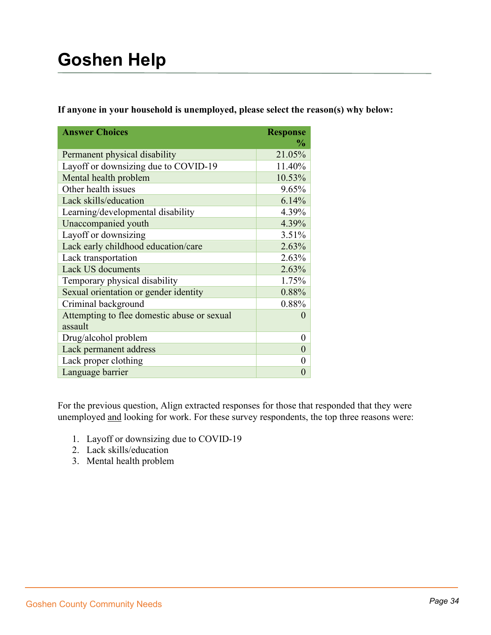**If anyone in your household is unemployed, please select the reason(s) why below:**

| <b>Answer Choices</b>                                  | <b>Response</b><br>$\frac{0}{0}$ |
|--------------------------------------------------------|----------------------------------|
| Permanent physical disability                          | 21.05%                           |
| Layoff or downsizing due to COVID-19                   | 11.40%                           |
| Mental health problem                                  | 10.53%                           |
| Other health issues                                    | 9.65%                            |
| Lack skills/education                                  | 6.14%                            |
| Learning/developmental disability                      | 4.39%                            |
| Unaccompanied youth                                    | 4.39%                            |
| Layoff or downsizing                                   | 3.51%                            |
| Lack early childhood education/care                    | 2.63%                            |
| Lack transportation                                    | 2.63%                            |
| <b>Lack US documents</b>                               | 2.63%                            |
| Temporary physical disability                          | 1.75%                            |
| Sexual orientation or gender identity                  | 0.88%                            |
| Criminal background                                    | 0.88%                            |
| Attempting to flee domestic abuse or sexual<br>assault | $\mathcal{O}$                    |
| Drug/alcohol problem                                   | 0                                |
| Lack permanent address                                 | $\theta$                         |
| Lack proper clothing                                   | 0                                |
| Language barrier                                       | 0                                |

For the previous question, Align extracted responses for those that responded that they were unemployed and looking for work. For these survey respondents, the top three reasons were:

- 1. Layoff or downsizing due to COVID-19
- 2. Lack skills/education
- 3. Mental health problem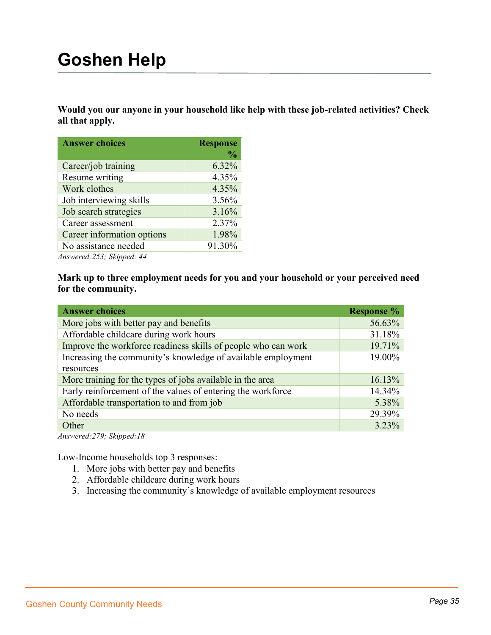**Would you our anyone in your household like help with these job-related activities? Check all that apply.**

| <b>Answer choices</b>                       | <b>Response</b> |
|---------------------------------------------|-----------------|
|                                             | $\frac{0}{0}$   |
| Career/job training                         | 6.32%           |
| Resume writing                              | 4.35%           |
| Work clothes                                | 4.35%           |
| Job interviewing skills                     | 3.56%           |
| Job search strategies                       | 3.16%           |
| Career assessment                           | 2.37%           |
| Career information options                  | 1.98%           |
| No assistance needed                        | 91.30%          |
| $An moved \cdot 252 \cdot Climnod \cdot 44$ |                 |

*Answered:253; Skipped: 44*

**Mark up to three employment needs for you and your household or your perceived need for the community.**

| <b>Answer choices</b>                                         | <b>Response %</b> |
|---------------------------------------------------------------|-------------------|
| More jobs with better pay and benefits                        | 56.63%            |
| Affordable childcare during work hours                        | 31.18%            |
| Improve the workforce readiness skills of people who can work | 19.71%            |
| Increasing the community's knowledge of available employment  | 19.00%            |
| resources                                                     |                   |
| More training for the types of jobs available in the area     | 16.13%            |
| Early reinforcement of the values of entering the workforce   | 14.34%            |
| Affordable transportation to and from job                     | 5.38%             |
| No needs                                                      | 29.39%            |
| Other                                                         | $3.23\%$          |

*Answered:279; Skipped:18*

Low-Income households top 3 responses:

- 1. More jobs with better pay and benefits
- 2. Affordable childcare during work hours
- 3. Increasing the community's knowledge of available employment resources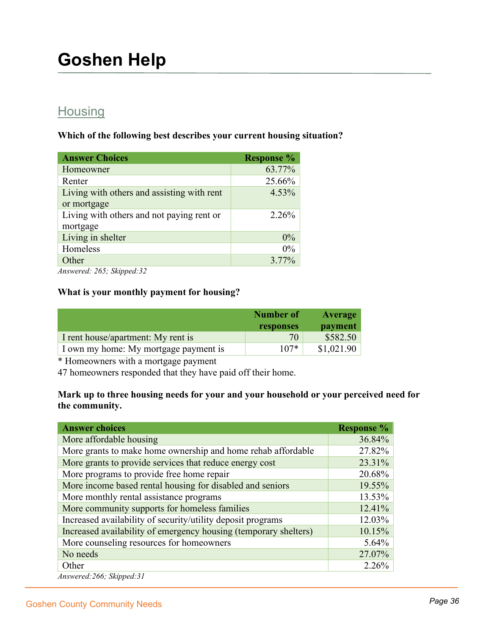## **Housing**

**Which of the following best describes your current housing situation?** 

| <b>Answer Choices</b>                                                 | <b>Response %</b> |
|-----------------------------------------------------------------------|-------------------|
| Homeowner                                                             | 63.77%            |
| Renter                                                                | 25.66%            |
| Living with others and assisting with rent                            | 4.53%             |
| or mortgage                                                           |                   |
| Living with others and not paying rent or                             | 2.26%             |
| mortgage                                                              |                   |
| Living in shelter                                                     | 0%                |
| Homeless                                                              | $0\%$             |
| Other                                                                 | 3.77%             |
| $\frac{1}{1}$ $\frac{1}{1}$ $\frac{1}{1}$ $\frac{1}{1}$ $\frac{1}{1}$ |                   |

*Answered: 265; Skipped:32*

#### **What is your monthly payment for housing?**

|                                       | Number of | Average    |
|---------------------------------------|-----------|------------|
|                                       | responses | payment    |
| I rent house/apartment: My rent is    | 70        | \$582.50   |
| I own my home: My mortgage payment is | $107*$    | \$1,021.90 |

\* Homeowners with a mortgage payment

47 homeowners responded that they have paid off their home.

#### **Mark up to three housing needs for your and your household or your perceived need for the community.**

| <b>Answer choices</b>                                            | <b>Response</b> % |
|------------------------------------------------------------------|-------------------|
| More affordable housing                                          | 36.84%            |
| More grants to make home ownership and home rehab affordable     | 27.82%            |
| More grants to provide services that reduce energy cost          | 23.31%            |
| More programs to provide free home repair                        | 20.68%            |
| More income based rental housing for disabled and seniors        | 19.55%            |
| More monthly rental assistance programs                          | 13.53%            |
| More community supports for homeless families                    | 12.41%            |
| Increased availability of security/utility deposit programs      | 12.03%            |
| Increased availability of emergency housing (temporary shelters) | 10.15%            |
| More counseling resources for homeowners                         | $5.64\%$          |
| No needs                                                         | 27.07%            |
| Other                                                            | $2.26\%$          |
| Answered: 266; Skipped: 31                                       |                   |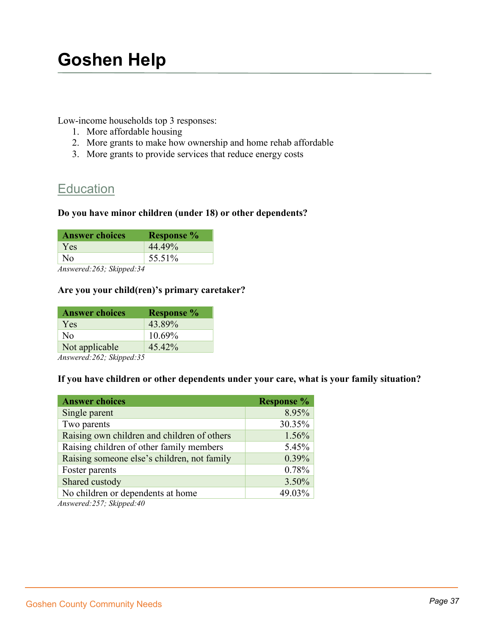Low-income households top 3 responses:

- 1. More affordable housing
- 2. More grants to make how ownership and home rehab affordable
- 3. More grants to provide services that reduce energy costs

### **Education**

#### **Do you have minor children (under 18) or other dependents?**

| <b>Answer choices</b> | <b>Response</b> % |
|-----------------------|-------------------|
| <b>Yes</b>            | 44.49%            |
| N <sub>0</sub>        | 55.51%            |

*Answered:263; Skipped:34*

#### **Are you your child(ren)'s primary caretaker?**

| <b>Answer choices</b> | <b>Response</b> % |
|-----------------------|-------------------|
| Yes                   | 43.89%            |
| Nο                    | 10.69%            |
| Not applicable        | 45.42%            |
|                       |                   |

*Answered:262; Skipped:35*

#### **If you have children or other dependents under your care, what is your family situation?**

| <b>Answer choices</b>                       | <b>Response</b> % |
|---------------------------------------------|-------------------|
| Single parent                               | 8.95%             |
| Two parents                                 | 30.35%            |
| Raising own children and children of others | 1.56%             |
| Raising children of other family members    | 5.45%             |
| Raising someone else's children, not family | 0.39%             |
| Foster parents                              | 0.78%             |
| Shared custody                              | 3.50%             |
| No children or dependents at home           | 49.03%            |

*Answered:257; Skipped:40*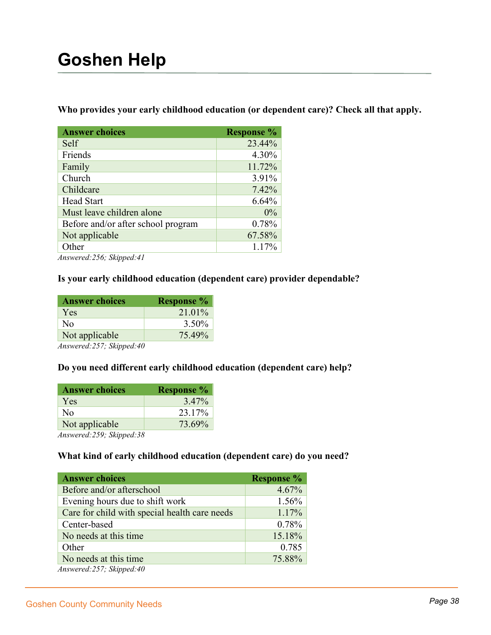**Who provides your early childhood education (or dependent care)? Check all that apply.**

| <b>Answer choices</b>              | <b>Response %</b> |
|------------------------------------|-------------------|
| Self                               | 23.44%            |
| Friends                            | 4.30%             |
| Family                             | 11.72%            |
| Church                             | 3.91%             |
| Childcare                          | 7.42%             |
| <b>Head Start</b>                  | 6.64%             |
| Must leave children alone          | $0\%$             |
| Before and/or after school program | 0.78%             |
| Not applicable                     | 67.58%            |
| Other                              | 1.17%             |

*Answered:256; Skipped:41*

#### **Is your early childhood education (dependent care) provider dependable?**

| <b>Answer choices</b>                                                                                    | <b>Response</b> % |
|----------------------------------------------------------------------------------------------------------|-------------------|
| Yes                                                                                                      | 21.01%            |
| No                                                                                                       | 3.50%             |
| Not applicable                                                                                           | 75.49%            |
| $\overline{1}$ $\overline{2}$ $\overline{3}$ $\overline{5}$ $\overline{7}$ $\overline{1}$ $\overline{2}$ |                   |

*Answered:257; Skipped:40*

#### **Do you need different early childhood education (dependent care) help?**

| <b>Answer choices</b> | <b>Response</b> % |
|-----------------------|-------------------|
| Yes                   | 3.47%             |
| Nο                    | 23.17%            |
| Not applicable        | 73.69%            |
| $\lambda$             |                   |

*Answered:259; Skipped:38*

#### **What kind of early childhood education (dependent care) do you need?**

| <b>Answer choices</b>                         | <b>Response</b> % |
|-----------------------------------------------|-------------------|
| Before and/or afterschool                     | 4.67%             |
| Evening hours due to shift work               | 1.56%             |
| Care for child with special health care needs | 1.17%             |
| Center-based                                  | 0.78%             |
| No needs at this time.                        | 15.18%            |
| Other                                         | 0.785             |
| No needs at this time.                        | 75.88%            |
| Answered:257; Skipped:40                      |                   |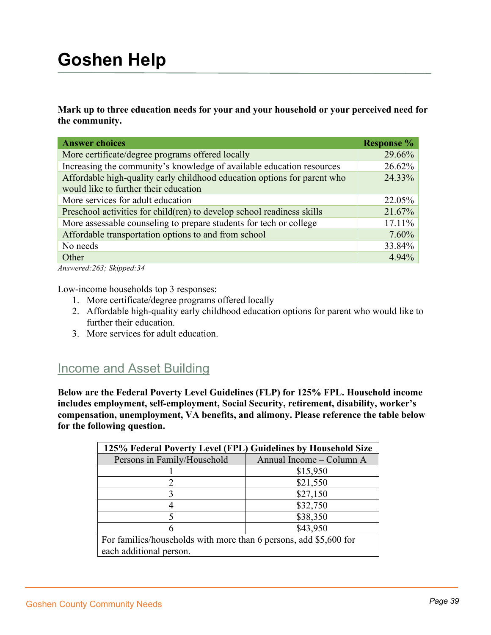**Mark up to three education needs for your and your household or your perceived need for the community.** 

| <b>Answer choices</b>                                                    | <b>Response %</b> |
|--------------------------------------------------------------------------|-------------------|
| More certificate/degree programs offered locally                         | 29.66%            |
| Increasing the community's knowledge of available education resources    | 26.62%            |
| Affordable high-quality early childhood education options for parent who | 24.33%            |
| would like to further their education                                    |                   |
| More services for adult education                                        | $22.05\%$         |
| Preschool activities for child (ren) to develop school readiness skills  | 21.67%            |
| More assessable counseling to prepare students for tech or college       | $17.11\%$         |
| Affordable transportation options to and from school                     | $7.60\%$          |
| No needs                                                                 | 33.84%            |
| Other                                                                    | 4.94%             |
|                                                                          |                   |

*Answered:263; Skipped:34*

Low-income households top 3 responses:

- 1. More certificate/degree programs offered locally
- 2. Affordable high-quality early childhood education options for parent who would like to further their education.
- 3. More services for adult education.

### **Income and Asset Building**

**Below are the Federal Poverty Level Guidelines (FLP) for 125% FPL. Household income includes employment, self-employment, Social Security, retirement, disability, worker's compensation, unemployment, VA benefits, and alimony. Please reference the table below for the following question.**

| 125% Federal Poverty Level (FPL) Guidelines by Household Size     |                          |
|-------------------------------------------------------------------|--------------------------|
| Persons in Family/Household                                       | Annual Income - Column A |
|                                                                   | \$15,950                 |
|                                                                   | \$21,550                 |
|                                                                   | \$27,150                 |
|                                                                   | \$32,750                 |
|                                                                   | \$38,350                 |
|                                                                   | \$43,950                 |
| For families/households with more than 6 persons, add \$5,600 for |                          |
| each additional person.                                           |                          |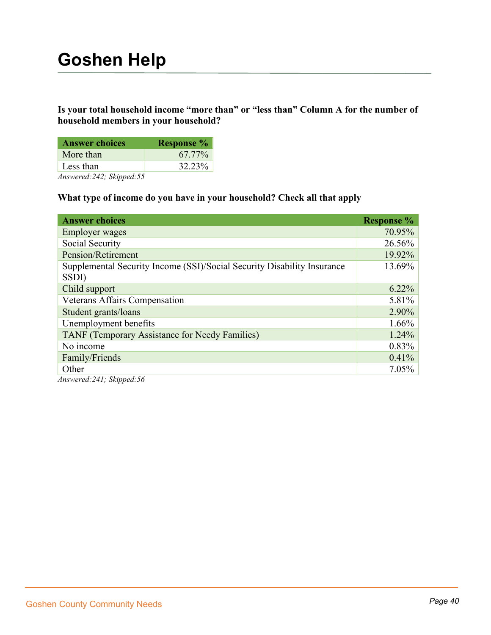#### **Is your total household income "more than" or "less than" Column A for the number of household members in your household?**

| <b>Answer choices</b> | <b>Response</b> % |
|-----------------------|-------------------|
| More than             | 67.77%            |
| Less than             | 32.23%            |
|                       |                   |

*Answered:242; Skipped:55*

#### **What type of income do you have in your household? Check all that apply**

| <b>Answer choices</b>                                                            | <b>Response</b> % |
|----------------------------------------------------------------------------------|-------------------|
| <b>Employer</b> wages                                                            | 70.95%            |
| Social Security                                                                  | 26.56%            |
| Pension/Retirement                                                               | 19.92%            |
| Supplemental Security Income (SSI)/Social Security Disability Insurance<br>SSDI) | 13.69%            |
| Child support                                                                    | $6.22\%$          |
| <b>Veterans Affairs Compensation</b>                                             | 5.81%             |
| Student grants/loans                                                             | 2.90%             |
| Unemployment benefits                                                            | 1.66%             |
| <b>TANF</b> (Temporary Assistance for Needy Families)                            | 1.24%             |
| No income                                                                        | 0.83%             |
| Family/Friends                                                                   | 0.41%             |
| Other                                                                            | 7.05%             |

*Answered:241; Skipped:56*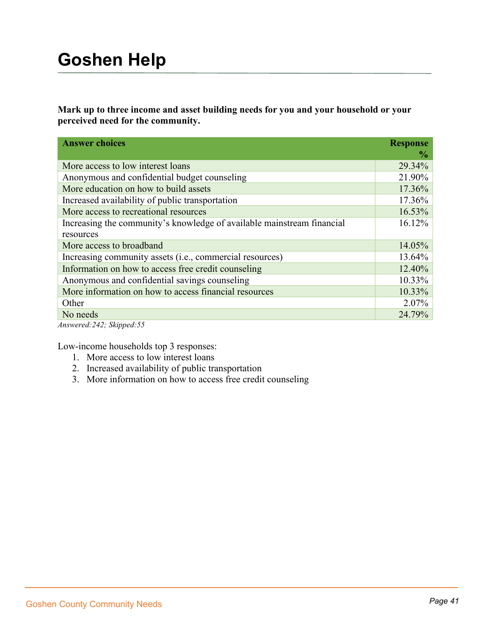**Mark up to three income and asset building needs for you and your household or your perceived need for the community.**

| <b>Answer choices</b>                                                  | <b>Response</b><br>$\frac{6}{9}$ |
|------------------------------------------------------------------------|----------------------------------|
|                                                                        |                                  |
| More access to low interest loans                                      | 29.34%                           |
| Anonymous and confidential budget counseling                           | 21.90%                           |
| More education on how to build assets                                  | 17.36%                           |
| Increased availability of public transportation                        | 17.36%                           |
| More access to recreational resources                                  | 16.53%                           |
| Increasing the community's knowledge of available mainstream financial | 16.12%                           |
| resources                                                              |                                  |
| More access to broadband                                               | 14.05%                           |
| Increasing community assets ( <i>i.e.</i> , commercial resources)      | 13.64%                           |
| Information on how to access free credit counseling                    | 12.40%                           |
| Anonymous and confidential savings counseling                          | 10.33%                           |
| More information on how to access financial resources                  | 10.33%                           |
| Other                                                                  | 2.07%                            |
| No needs                                                               | 24.79%                           |

*Answered:242; Skipped:55*

Low-income households top 3 responses:

- 1. More access to low interest loans
- 2. Increased availability of public transportation
- 3. More information on how to access free credit counseling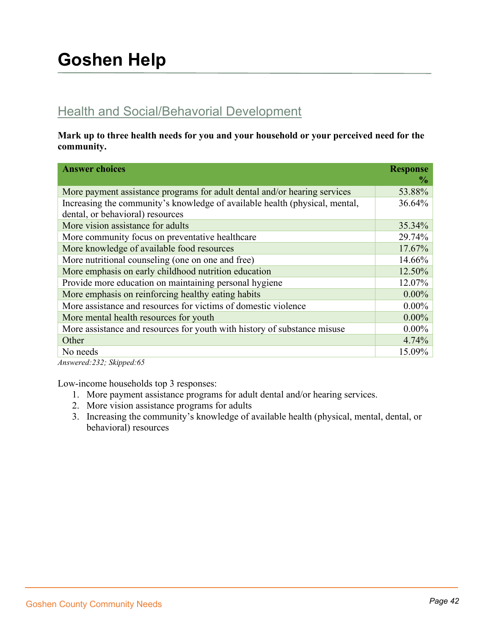## Health and Social/Behavorial Development

**Mark up to three health needs for you and your household or your perceived need for the community.** 

| <b>Answer choices</b>                                                       | <b>Response</b><br>$\frac{6}{9}$ |
|-----------------------------------------------------------------------------|----------------------------------|
| More payment assistance programs for adult dental and/or hearing services   | 53.88%                           |
| Increasing the community's knowledge of available health (physical, mental, | 36.64%                           |
| dental, or behavioral) resources                                            |                                  |
| More vision assistance for adults                                           | 35.34%                           |
| More community focus on preventative healthcare                             | 29.74%                           |
| More knowledge of available food resources                                  | 17.67%                           |
| More nutritional counseling (one on one and free)                           | 14.66%                           |
| More emphasis on early childhood nutrition education                        | 12.50%                           |
| Provide more education on maintaining personal hygiene                      | 12.07%                           |
| More emphasis on reinforcing healthy eating habits                          | $0.00\%$                         |
| More assistance and resources for victims of domestic violence              | $0.00\%$                         |
| More mental health resources for youth                                      | $0.00\%$                         |
| More assistance and resources for youth with history of substance misuse    | $0.00\%$                         |
| Other                                                                       | 4.74%                            |
| No needs                                                                    | 15.09%                           |

*Answered:232; Skipped:65*

Low-income households top 3 responses:

- 1. More payment assistance programs for adult dental and/or hearing services.
- 2. More vision assistance programs for adults
- 3. Increasing the community's knowledge of available health (physical, mental, dental, or behavioral) resources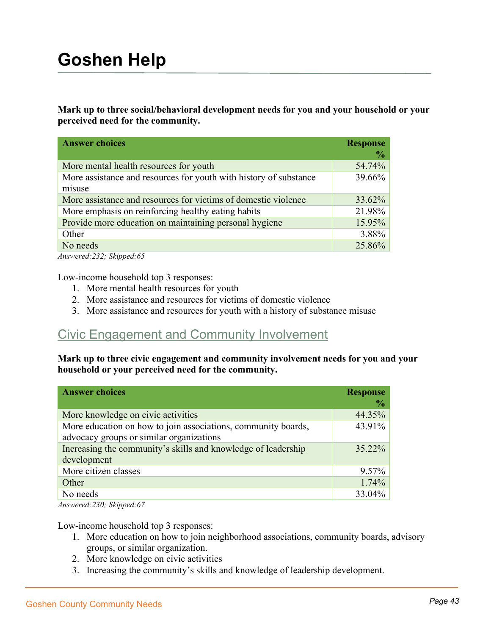**Mark up to three social/behavioral development needs for you and your household or your perceived need for the community.**

| <b>Answer choices</b>                                                       | <b>Response</b><br>$\frac{0}{0}$ |
|-----------------------------------------------------------------------------|----------------------------------|
| More mental health resources for youth                                      | 54.74%                           |
| More assistance and resources for youth with history of substance<br>misuse | 39.66%                           |
| More assistance and resources for victims of domestic violence              | 33.62%                           |
| More emphasis on reinforcing healthy eating habits                          | 21.98%                           |
| Provide more education on maintaining personal hygiene                      | 15.95%                           |
| Other                                                                       | 3.88%                            |
| No needs                                                                    | 25.86%                           |

*Answered:232; Skipped:65*

Low-income household top 3 responses:

- 1. More mental health resources for youth
- 2. More assistance and resources for victims of domestic violence
- 3. More assistance and resources for youth with a history of substance misuse

### Civic Engagement and Community Involvement

**Mark up to three civic engagement and community involvement needs for you and your household or your perceived need for the community.**

| <b>Answer choices</b>                                                                                     | <b>Response</b><br>$\frac{1}{2}$ |
|-----------------------------------------------------------------------------------------------------------|----------------------------------|
| More knowledge on civic activities                                                                        | 44.35%                           |
| More education on how to join associations, community boards,<br>advocacy groups or similar organizations | 43.91%                           |
| Increasing the community's skills and knowledge of leadership<br>development                              | 35.22%                           |
| More citizen classes                                                                                      | $9.57\%$                         |
| Other                                                                                                     | $1.74\%$                         |
| No needs                                                                                                  | 33.04%                           |

*Answered:230; Skipped:67*

Low-income household top 3 responses:

- 1. More education on how to join neighborhood associations, community boards, advisory groups, or similar organization.
- 2. More knowledge on civic activities
- 3. Increasing the community's skills and knowledge of leadership development.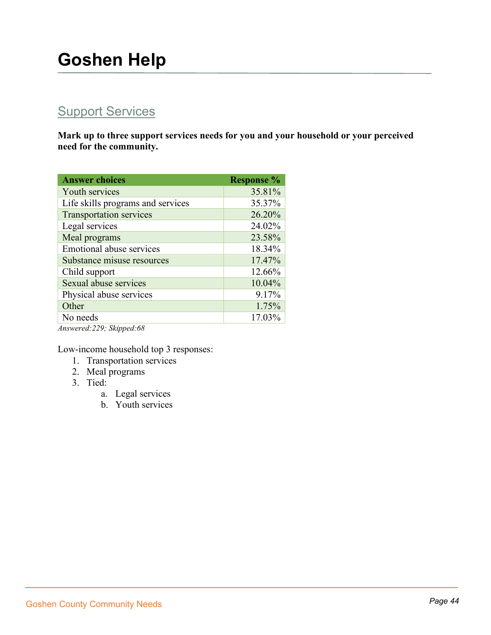## **Support Services**

**Mark up to three support services needs for you and your household or your perceived need for the community.**

| <b>Answer choices</b>             | <b>Response %</b> |
|-----------------------------------|-------------------|
| Youth services                    | 35.81%            |
| Life skills programs and services | 35.37%            |
| <b>Transportation services</b>    | 26.20%            |
| Legal services                    | 24.02%            |
| Meal programs                     | 23.58%            |
| <b>Emotional abuse services</b>   | 18.34%            |
| Substance misuse resources        | 17.47%            |
| Child support                     | 12.66%            |
| Sexual abuse services             | 10.04%            |
| Physical abuse services           | 9.17%             |
| Other                             | 1.75%             |
| No needs                          | 17.03%            |
| Answered: 229; Skipped: 68        |                   |

Low-income household top 3 responses:

- 1. Transportation services
- 2. Meal programs
- 3. Tied:
	- a. Legal services
	- b. Youth services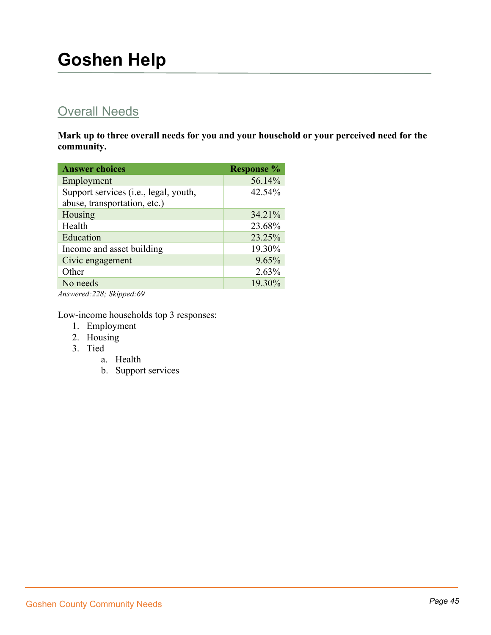## **Overall Needs**

**Mark up to three overall needs for you and your household or your perceived need for the community.**

| <b>Answer choices</b>                 | <b>Response %</b> |
|---------------------------------------|-------------------|
| Employment                            | 56.14%            |
| Support services (i.e., legal, youth, | 42.54%            |
| abuse, transportation, etc.)          |                   |
| Housing                               | 34.21%            |
| Health                                | 23.68%            |
| Education                             | 23.25%            |
| Income and asset building             | 19.30%            |
| Civic engagement                      | 9.65%             |
| Other                                 | 2.63%             |
| No needs                              | 19.30%            |

*Answered:228; Skipped:69*

Low-income households top 3 responses:

- 1. Employment
- 2. Housing
- 3. Tied
	- a. Health
	- b. Support services